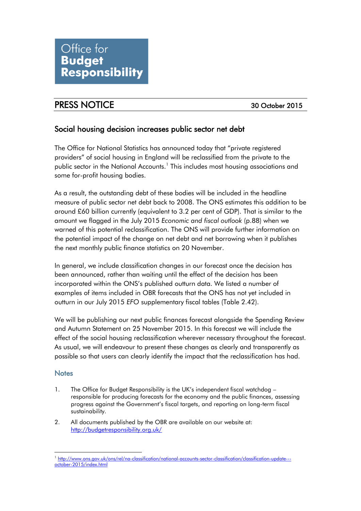## PRESS NOTICE 30 October 2015

## Social housing decision increases public sector net debt

The Office for National Statistics has announced today that "private registered providers" of social housing in England will be reclassified from the private to the public sector in the National Accounts.<sup>1</sup> This includes most housing associations and some for-profit housing bodies.

As a result, the outstanding debt of these bodies will be included in the headline measure of public sector net debt back to 2008. The ONS estimates this addition to be around £60 billion currently (equivalent to 3.2 per cent of GDP). That is similar to the amount we flagged in the July 2015 *Economic and fiscal outlook* (p.88) when we warned of this potential reclassification. The ONS will provide further information on the potential impact of the change on net debt and net borrowing when it publishes the next monthly public finance statistics on 20 November.

In general, we include classification changes in our forecast once the decision has been announced, rather than waiting until the effect of the decision has been incorporated within the ONS's published outturn data. We listed a number of examples of items included in OBR forecasts that the ONS has not yet included in outturn in our July 2015 *EFO* supplementary fiscal tables (Table 2.42).

We will be publishing our next public finances forecast alongside the Spending Review and Autumn Statement on 25 November 2015. In this forecast we will include the effect of the social housing reclassification wherever necessary throughout the forecast. As usual, we will endeavour to present these changes as clearly and transparently as possible so that users can clearly identify the impact that the reclassification has had.

## **Notes**

- 1. The Office for Budget Responsibility is the UK's independent fiscal watchdog responsible for producing forecasts for the economy and the public finances, assessing progress against the Government's fiscal targets, and reporting on long-term fiscal sustainability.
- 2. All documents published by the OBR are available on our website at: <http://budgetresponsibility.org.uk/>

<sup>&</sup>lt;u>.</u> <sup>1</sup> [http://www.ons.gov.uk/ons/rel/na-classification/national-accounts-sector-classification/classification-update--](http://www.ons.gov.uk/ons/rel/na-classification/national-accounts-sector-classification/classification-update---october-2015/index.html) [october-2015/index.html](http://www.ons.gov.uk/ons/rel/na-classification/national-accounts-sector-classification/classification-update---october-2015/index.html)